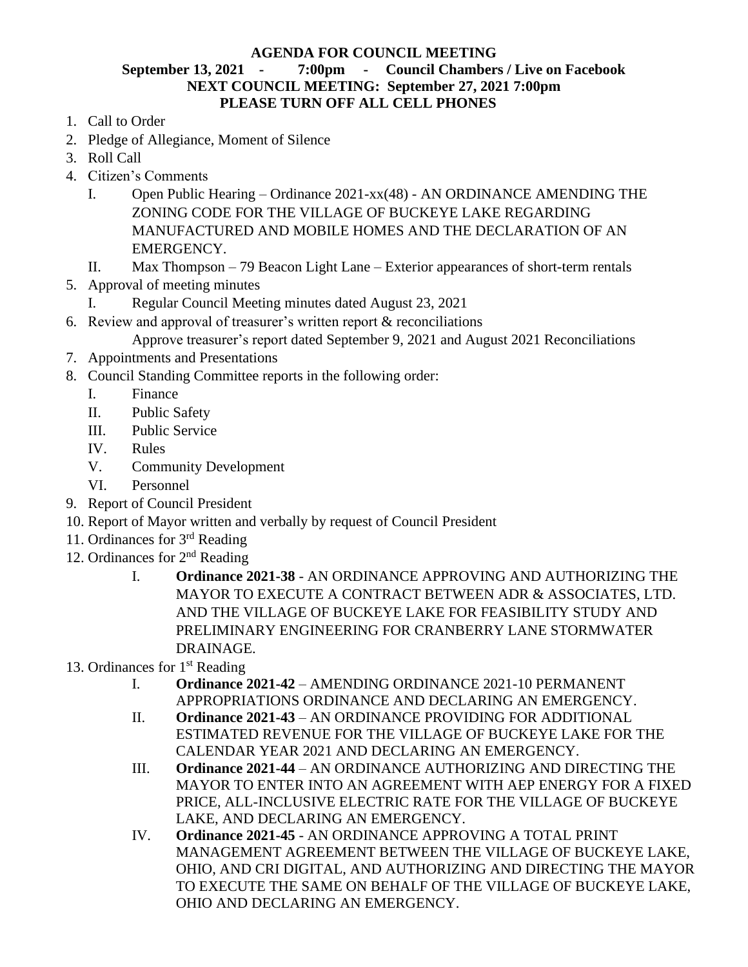## **AGENDA FOR COUNCIL MEETING**

## **September 13, 2021 - 7:00pm - Council Chambers / Live on Facebook NEXT COUNCIL MEETING: September 27, 2021 7:00pm PLEASE TURN OFF ALL CELL PHONES**

- 1. Call to Order
- 2. Pledge of Allegiance, Moment of Silence
- 3. Roll Call
- 4. Citizen's Comments
	- I. Open Public Hearing Ordinance 2021-xx(48) AN ORDINANCE AMENDING THE ZONING CODE FOR THE VILLAGE OF BUCKEYE LAKE REGARDING MANUFACTURED AND MOBILE HOMES AND THE DECLARATION OF AN EMERGENCY.
	- II. Max Thompson 79 Beacon Light Lane Exterior appearances of short-term rentals
- 5. Approval of meeting minutes
	- Regular Council Meeting minutes dated August 23, 2021
- 6. Review and approval of treasurer's written report & reconciliations
	- Approve treasurer's report dated September 9, 2021 and August 2021 Reconciliations
- 7. Appointments and Presentations
- 8. Council Standing Committee reports in the following order:
	- I. Finance
	- II. Public Safety
	- III. Public Service
	- IV. Rules
	- V. Community Development
	- VI. Personnel
- 9. Report of Council President
- 10. Report of Mayor written and verbally by request of Council President
- 11. Ordinances for 3rd Reading
- 12. Ordinances for 2<sup>nd</sup> Reading
	- I. **Ordinance 2021-38** AN ORDINANCE APPROVING AND AUTHORIZING THE MAYOR TO EXECUTE A CONTRACT BETWEEN ADR & ASSOCIATES, LTD. AND THE VILLAGE OF BUCKEYE LAKE FOR FEASIBILITY STUDY AND PRELIMINARY ENGINEERING FOR CRANBERRY LANE STORMWATER DRAINAGE.
- 13. Ordinances for  $1<sup>st</sup>$  Reading
	- I. **Ordinance 2021-42** AMENDING ORDINANCE 2021-10 PERMANENT APPROPRIATIONS ORDINANCE AND DECLARING AN EMERGENCY.
	- II. **Ordinance 2021-43** AN ORDINANCE PROVIDING FOR ADDITIONAL ESTIMATED REVENUE FOR THE VILLAGE OF BUCKEYE LAKE FOR THE CALENDAR YEAR 2021 AND DECLARING AN EMERGENCY.
	- III. **Ordinance 2021-44** AN ORDINANCE AUTHORIZING AND DIRECTING THE MAYOR TO ENTER INTO AN AGREEMENT WITH AEP ENERGY FOR A FIXED PRICE, ALL-INCLUSIVE ELECTRIC RATE FOR THE VILLAGE OF BUCKEYE LAKE, AND DECLARING AN EMERGENCY.
	- IV. **Ordinance 2021-45** AN ORDINANCE APPROVING A TOTAL PRINT MANAGEMENT AGREEMENT BETWEEN THE VILLAGE OF BUCKEYE LAKE, OHIO, AND CRI DIGITAL, AND AUTHORIZING AND DIRECTING THE MAYOR TO EXECUTE THE SAME ON BEHALF OF THE VILLAGE OF BUCKEYE LAKE, OHIO AND DECLARING AN EMERGENCY.